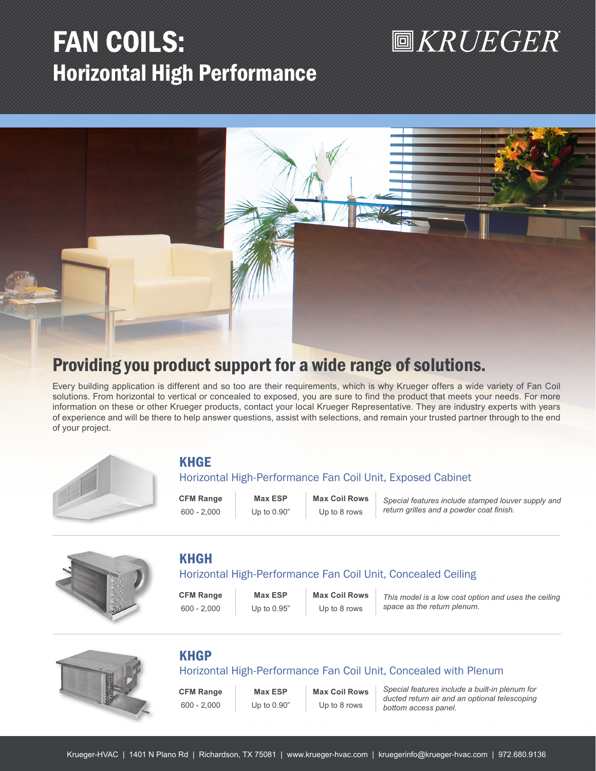# FAN COILS: Horizontal High Performance

# **圖KRUEGER**



# Providing you product support for a wide range of solutions.

Every building application is different and so too are their requirements, which is why Krueger offers a wide variety of Fan Coil solutions. From horizontal to vertical or concealed to exposed, you are sure to find the product that meets your needs. For more information on these or other Krueger products, contact your local Krueger Representative. They are industry experts with years of experience and will be there to help answer questions, assist with selections, and remain your trusted partner through to the end of your project.



# KHGE

# Horizontal High-Performance Fan Coil Unit, Exposed Cabinet

**CFM Range Max ESP Max Coil Rows**

600 - 2,000 Up to 0.90" Up to 8 rows

*Special features include stamped louver supply and return grilles and a powder coat finish.*



# KHGH

# Horizontal High-Performance Fan Coil Unit, Concealed Ceiling

**CFM Range Max ESP Max Coil Rows** 600 - 2,000 Up to 0.95" Up to 8 rows

*This model is a low cost option and uses the ceiling space as the return plenum.*



# KHGP

Horizontal High-Performance Fan Coil Unit, Concealed with Plenum

**CFM Range Max ESP Max Coil Rows**

600 - 2,000 Up to 0.90" Up to 8 rows

*Special features include a built-in plenum for ducted return air and an optional telescoping bottom access panel.*